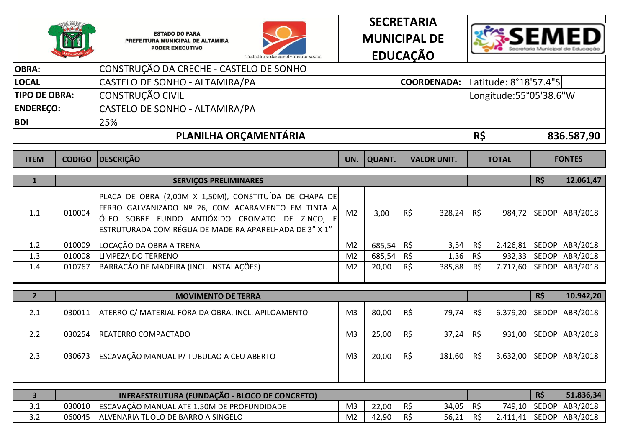







| <b>OBRA:</b>            |                  | CONSTRUÇÃO DA CRECHE - CASTELO DE SONHO                                                                                                                                                                                  |                                  |                |                              |                 |                        |            |                            |
|-------------------------|------------------|--------------------------------------------------------------------------------------------------------------------------------------------------------------------------------------------------------------------------|----------------------------------|----------------|------------------------------|-----------------|------------------------|------------|----------------------------|
| <b>LOCAL</b>            |                  | CASTELO DE SONHO - ALTAMIRA/PA                                                                                                                                                                                           |                                  |                | <b>COORDENADA:</b>           |                 | Latitude: 8°18'57.4"S  |            |                            |
| <b>TIPO DE OBRA:</b>    |                  | CONSTRUÇÃO CIVIL                                                                                                                                                                                                         |                                  |                |                              |                 | Longitude:55°05'38.6"W |            |                            |
| <b>ENDEREÇO:</b>        |                  | CASTELO DE SONHO - ALTAMIRA/PA                                                                                                                                                                                           |                                  |                |                              |                 |                        |            |                            |
| <b>BDI</b>              |                  | 25%                                                                                                                                                                                                                      |                                  |                |                              |                 |                        |            |                            |
|                         |                  | PLANILHA ORÇAMENTÁRIA                                                                                                                                                                                                    |                                  |                |                              | R\$             |                        |            | 836.587,90                 |
| <b>ITEM</b>             | <b>CODIGO</b>    | <b>DESCRIÇÃO</b>                                                                                                                                                                                                         | UN.                              | <b>QUANT.</b>  | <b>VALOR UNIT.</b>           |                 | <b>TOTAL</b>           |            | <b>FONTES</b>              |
| $\mathbf{1}$            |                  | <b>SERVIÇOS PRELIMINARES</b>                                                                                                                                                                                             |                                  |                |                              |                 |                        | <b>R\$</b> | 12.061,47                  |
| 1.1                     | 010004           | PLACA DE OBRA (2,00M X 1,50M), CONSTITUÍDA DE CHAPA DE<br>FERRO GALVANIZADO Nº 26, COM ACABAMENTO EM TINTA A<br>ÓLEO SOBRE FUNDO ANTIÓXIDO CROMATO DE ZINCO, E<br>ESTRUTURADA COM RÉGUA DE MADEIRA APARELHADA DE 3" X 1" | M <sub>2</sub>                   | 3,00           | $R\zeta$<br>328,24           | R\$             | 984,72                 |            | SEDOP ABR/2018             |
| 1.2                     | 010009           | LOCAÇÃO DA OBRA A TRENA                                                                                                                                                                                                  | M <sub>2</sub>                   | 685,54         | R\$<br>3,54                  | R\$             | 2.426,81               |            | SEDOP ABR/2018             |
| 1.3                     | 010008           | LIMPEZA DO TERRENO                                                                                                                                                                                                       | M <sub>2</sub>                   | 685,54         | R\$<br>1,36                  | R\$             | 932,33                 |            | SEDOP ABR/2018             |
| 1.4                     | 010767           | BARRACÃO DE MADEIRA (INCL. INSTALAÇÕES)                                                                                                                                                                                  | M <sub>2</sub>                   | 20,00          | $R\zeta$<br>385,88           | R\$             | 7.717,60               |            | SEDOP ABR/2018             |
|                         |                  |                                                                                                                                                                                                                          |                                  |                |                              |                 |                        |            |                            |
| $\overline{2}$          |                  | <b>MOVIMENTO DE TERRA</b>                                                                                                                                                                                                |                                  |                |                              |                 |                        | R\$        | 10.942,20                  |
| 2.1                     | 030011           | ATERRO C/ MATERIAL FORA DA OBRA, INCL. APILOAMENTO                                                                                                                                                                       | M <sub>3</sub>                   | 80,00          | $R\zeta$<br>79,74            | R\$             | 6.379,20               |            | SEDOP ABR/2018             |
| 2.2                     | 030254           | REATERRO COMPACTADO                                                                                                                                                                                                      | M <sub>3</sub>                   | 25,00          | R\$<br>37,24                 | R\$             | 931,00                 |            | SEDOP ABR/2018             |
| 2.3                     | 030673           | ESCAVAÇÃO MANUAL P/ TUBULAO A CEU ABERTO                                                                                                                                                                                 | M <sub>3</sub>                   | 20,00          | R\$<br>181,60                | R\$             | 3.632,00               |            | SEDOP ABR/2018             |
|                         |                  |                                                                                                                                                                                                                          |                                  |                |                              |                 |                        |            |                            |
|                         |                  |                                                                                                                                                                                                                          |                                  |                |                              |                 |                        |            |                            |
| $\overline{\mathbf{3}}$ |                  | INFRAESTRUTURA (FUNDAÇÃO - BLOCO DE CONCRETO)                                                                                                                                                                            |                                  |                |                              |                 |                        | R\$        | 51.836,34                  |
| 3.1<br>3.2              | 030010<br>060045 | ESCAVAÇÃO MANUAL ATE 1.50M DE PROFUNDIDADE<br>ALVENARIA TIJOLO DE BARRO A SINGELO                                                                                                                                        | M <sub>3</sub><br>M <sub>2</sub> | 22,00<br>42,90 | R\$<br>34,05<br>R\$<br>56,21 | R\$<br>$R\zeta$ | 749,10<br>2.411,41     | SEDOP      | ABR/2018<br>SEDOP ABR/2018 |
|                         |                  |                                                                                                                                                                                                                          |                                  |                |                              |                 |                        |            |                            |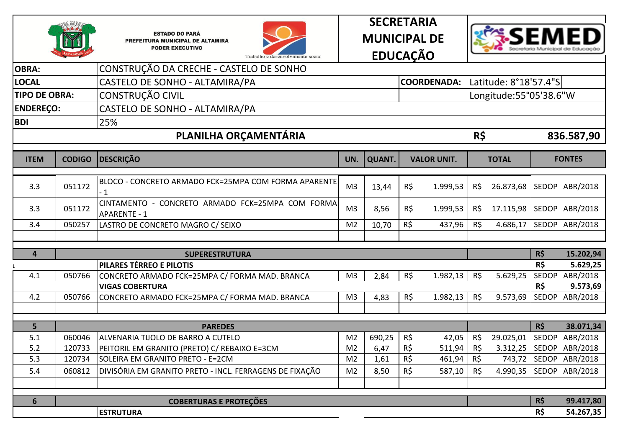







|                      | CONSTRUÇÃO DA CRECHE - CASTELO DE SONHO                 |                                                                                                                                                                                                                                                                                                                           |                                                                      |                               |                               |                                                                  |                               |                                                      |                                                                                                                             |
|----------------------|---------------------------------------------------------|---------------------------------------------------------------------------------------------------------------------------------------------------------------------------------------------------------------------------------------------------------------------------------------------------------------------------|----------------------------------------------------------------------|-------------------------------|-------------------------------|------------------------------------------------------------------|-------------------------------|------------------------------------------------------|-----------------------------------------------------------------------------------------------------------------------------|
|                      | CASTELO DE SONHO - ALTAMIRA/PA                          |                                                                                                                                                                                                                                                                                                                           |                                                                      |                               |                               |                                                                  |                               |                                                      |                                                                                                                             |
| <b>TIPO DE OBRA:</b> | CONSTRUÇÃO CIVIL                                        |                                                                                                                                                                                                                                                                                                                           |                                                                      |                               |                               |                                                                  |                               |                                                      |                                                                                                                             |
| <b>ENDEREÇO:</b>     | CASTELO DE SONHO - ALTAMIRA/PA                          |                                                                                                                                                                                                                                                                                                                           |                                                                      |                               |                               |                                                                  |                               |                                                      |                                                                                                                             |
|                      |                                                         |                                                                                                                                                                                                                                                                                                                           |                                                                      |                               |                               |                                                                  |                               |                                                      |                                                                                                                             |
|                      | PLANILHA ORÇAMENTÁRIA                                   |                                                                                                                                                                                                                                                                                                                           |                                                                      |                               |                               |                                                                  |                               |                                                      | 836.587,90                                                                                                                  |
|                      |                                                         |                                                                                                                                                                                                                                                                                                                           |                                                                      |                               |                               |                                                                  |                               |                                                      |                                                                                                                             |
| <b>CODIGO</b>        | <b>DESCRIÇÃO</b>                                        | UN.                                                                                                                                                                                                                                                                                                                       | <b>QUANT.</b>                                                        |                               |                               |                                                                  | <b>TOTAL</b>                  |                                                      | <b>FONTES</b>                                                                                                               |
|                      |                                                         |                                                                                                                                                                                                                                                                                                                           |                                                                      |                               |                               |                                                                  |                               |                                                      |                                                                                                                             |
| 051172               | $-1$                                                    | M <sub>3</sub>                                                                                                                                                                                                                                                                                                            | 13,44                                                                | R\$                           | 1.999,53                      | R\$                                                              | 26.873,68                     |                                                      | SEDOP ABR/2018                                                                                                              |
|                      | CINTAMENTO - CONCRETO ARMADO FCK=25MPA COM FORMA        |                                                                                                                                                                                                                                                                                                                           |                                                                      |                               |                               |                                                                  |                               |                                                      | SEDOP ABR/2018                                                                                                              |
|                      |                                                         |                                                                                                                                                                                                                                                                                                                           |                                                                      |                               |                               |                                                                  |                               |                                                      |                                                                                                                             |
|                      |                                                         |                                                                                                                                                                                                                                                                                                                           |                                                                      |                               |                               |                                                                  |                               |                                                      |                                                                                                                             |
|                      |                                                         |                                                                                                                                                                                                                                                                                                                           |                                                                      |                               |                               |                                                                  |                               |                                                      |                                                                                                                             |
|                      | <b>SUPERESTRUTURA</b>                                   |                                                                                                                                                                                                                                                                                                                           |                                                                      |                               |                               |                                                                  |                               |                                                      | 15.202,94                                                                                                                   |
|                      |                                                         |                                                                                                                                                                                                                                                                                                                           |                                                                      |                               |                               |                                                                  |                               |                                                      | 5.629,25                                                                                                                    |
|                      |                                                         |                                                                                                                                                                                                                                                                                                                           |                                                                      |                               |                               |                                                                  |                               |                                                      | ABR/2018                                                                                                                    |
|                      |                                                         |                                                                                                                                                                                                                                                                                                                           |                                                                      |                               |                               |                                                                  |                               |                                                      | 9.573,69                                                                                                                    |
|                      |                                                         |                                                                                                                                                                                                                                                                                                                           |                                                                      |                               |                               |                                                                  |                               |                                                      | ABR/2018                                                                                                                    |
|                      |                                                         |                                                                                                                                                                                                                                                                                                                           |                                                                      |                               |                               |                                                                  |                               |                                                      |                                                                                                                             |
|                      | <b>PAREDES</b>                                          |                                                                                                                                                                                                                                                                                                                           |                                                                      |                               |                               |                                                                  |                               | R\$                                                  | 38.071,34                                                                                                                   |
| 060046               | ALVENARIA TIJOLO DE BARRO A CUTELO                      | M <sub>2</sub>                                                                                                                                                                                                                                                                                                            | 690,25                                                               | R\$                           | 42,05                         | R\$                                                              | 29.025,01                     | <b>SEDOP</b>                                         | ABR/2018                                                                                                                    |
| 120733               | PEITORIL EM GRANITO (PRETO) C/ REBAIXO E=3CM            | M <sub>2</sub>                                                                                                                                                                                                                                                                                                            | 6,47                                                                 | R\$                           | 511,94                        | $R\zeta$                                                         | 3.312,25                      |                                                      | SEDOP ABR/2018                                                                                                              |
| 120734               | SOLEIRA EM GRANITO PRETO - E=2CM                        | M <sub>2</sub>                                                                                                                                                                                                                                                                                                            | 1,61                                                                 | $R\zeta$                      | 461,94                        | $R\zeta$                                                         | 743,72                        |                                                      | SEDOP ABR/2018                                                                                                              |
| 060812               | DIVISÓRIA EM GRANITO PRETO - INCL. FERRAGENS DE FIXAÇÃO | M <sub>2</sub>                                                                                                                                                                                                                                                                                                            | 8,50                                                                 | $R\zeta$                      | 587,10                        | $R\zeta$                                                         | 4.990,35                      |                                                      | SEDOP ABR/2018                                                                                                              |
|                      |                                                         |                                                                                                                                                                                                                                                                                                                           |                                                                      |                               |                               |                                                                  |                               |                                                      |                                                                                                                             |
|                      |                                                         |                                                                                                                                                                                                                                                                                                                           |                                                                      |                               |                               |                                                                  |                               |                                                      | 99.417,80                                                                                                                   |
|                      | <b>ESTRUTURA</b>                                        |                                                                                                                                                                                                                                                                                                                           |                                                                      |                               |                               |                                                                  |                               | R\$                                                  | 54.267,35                                                                                                                   |
|                      | 051172<br>050257<br>050766<br>050766                    | 25%<br>BLOCO - CONCRETO ARMADO FCK=25MPA COM FORMA APARENTE<br><b>APARENTE - 1</b><br>LASTRO DE CONCRETO MAGRO C/ SEIXO<br><b>PILARES TÉRREO E PILOTIS</b><br>CONCRETO ARMADO FCK=25MPA C/ FORMA MAD. BRANCA<br><b>VIGAS COBERTURA</b><br>CONCRETO ARMADO FCK=25MPA C/ FORMA MAD. BRANCA<br><b>COBERTURAS E PROTEÇÕES</b> | M <sub>3</sub><br>M <sub>2</sub><br>M <sub>3</sub><br>M <sub>3</sub> | 8,56<br>10,70<br>2,84<br>4,83 | R\$<br>$R\zeta$<br>R\$<br>R\$ | <b>VALOR UNIT.</b><br>1.999,53<br>437,96<br>1.982,13<br>1.982,13 | R\$<br>R\$<br>$R\zeta$<br>R\$ | R\$<br>17.115,98<br>4.686,17<br>5.629,25<br>9.573,69 | COORDENADA: Latitude: 8°18'57.4"S<br>Longitude:55°05'38.6"W<br>SEDOP ABR/2018<br>R\$<br>R\$<br>SEDOP<br>R\$<br>SEDOP<br>R\$ |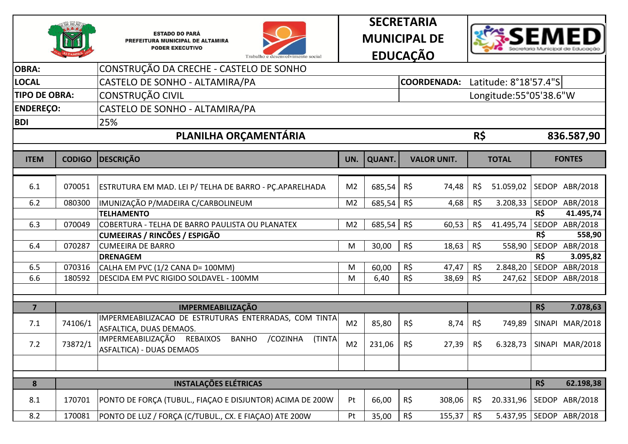







| <b>OBRA:</b>         |               | CONSTRUÇÃO DA CRECHE - CASTELO DE SONHO                                                             |                |               |                    |          |                        |     |                 |
|----------------------|---------------|-----------------------------------------------------------------------------------------------------|----------------|---------------|--------------------|----------|------------------------|-----|-----------------|
| <b>LOCAL</b>         |               | CASTELO DE SONHO - ALTAMIRA/PA                                                                      |                |               | <b>COORDENADA:</b> |          | Latitude: 8°18'57.4"S  |     |                 |
| <b>TIPO DE OBRA:</b> |               | <b>CONSTRUÇÃO CIVIL</b>                                                                             |                |               |                    |          | Longitude:55°05'38.6"W |     |                 |
| <b>ENDEREÇO:</b>     |               | CASTELO DE SONHO - ALTAMIRA/PA                                                                      |                |               |                    |          |                        |     |                 |
| <b>BDI</b>           |               | 25%                                                                                                 |                |               |                    |          |                        |     |                 |
|                      |               | PLANILHA ORÇAMENTÁRIA                                                                               |                |               |                    | R\$      |                        |     |                 |
|                      |               |                                                                                                     |                |               |                    |          |                        |     | 836.587,90      |
| <b>ITEM</b>          | <b>CODIGO</b> | <b>DESCRIÇÃO</b>                                                                                    | UN.            | <b>QUANT.</b> | <b>VALOR UNIT.</b> |          | <b>TOTAL</b>           |     | <b>FONTES</b>   |
|                      |               |                                                                                                     |                |               |                    |          |                        |     |                 |
| 6.1                  | 070051        | ESTRUTURA EM MAD. LEI P/ TELHA DE BARRO - PÇ.APARELHADA                                             | M <sub>2</sub> | 685,54        | $R\zeta$<br>74,48  | R\$      | 51.059,02              |     | SEDOP ABR/2018  |
| 6.2                  | 080300        | IMUNIZAÇÃO P/MADEIRA C/CARBOLINEUM                                                                  | M <sub>2</sub> | 685,54        | R\$<br>4,68        | R\$      | 3.208,33               |     | SEDOP ABR/2018  |
|                      |               | <b>TELHAMENTO</b>                                                                                   |                |               |                    |          |                        | R\$ | 41.495,74       |
| 6.3                  | 070049        | COBERTURA - TELHA DE BARRO PAULISTA OU PLANATEX                                                     | M <sub>2</sub> | 685,54        | R\$<br>60,53       | R\$      | 41.495,74              |     | SEDOP ABR/2018  |
|                      |               | <b>CUMEEIRAS / RINCÕES / ESPIGÃO</b>                                                                |                |               |                    |          |                        | R\$ | 558,90          |
| 6.4                  | 070287        | <b>CUMEEIRA DE BARRO</b>                                                                            | M              | 30,00         | R\$<br>18,63       | $R\zeta$ | 558,90                 |     | SEDOP ABR/2018  |
|                      |               | <b>DRENAGEM</b>                                                                                     |                |               |                    |          |                        | R\$ | 3.095,82        |
| 6.5                  | 070316        | CALHA EM PVC (1/2 CANA D= 100MM)                                                                    | M              | 60,00         | R\$<br>47,47       | R\$      | 2.848,20               |     | SEDOP ABR/2018  |
| 6.6                  | 180592        | DESCIDA EM PVC RIGIDO SOLDAVEL - 100MM                                                              | M              | 6,40          | R\$<br>38,69       | R\$      | 247,62                 |     | SEDOP ABR/2018  |
|                      |               |                                                                                                     |                |               |                    |          |                        |     |                 |
| $\overline{7}$       |               | <b>IMPERMEABILIZAÇÃO</b>                                                                            |                |               |                    |          |                        | R\$ | 7.078,63        |
| 7.1                  | 74106/1       | IMPERMEABILIZACAO DE ESTRUTURAS ENTERRADAS, COM TINTA<br>ASFALTICA, DUAS DEMAOS.                    | M <sub>2</sub> | 85,80         | $R\zeta$<br>8,74   | R\$      | 749,89                 |     | SINAPI MAR/2018 |
| 7.2                  | 73872/1       | IMPERMEABILIZAÇÃO REBAIXOS<br><b>BANHO</b><br>/COZINHA<br>(TINTA<br><b>ASFALTICA) - DUAS DEMAOS</b> | M <sub>2</sub> | 231,06        | R\$<br>27,39       | R\$      | 6.328,73               |     | SINAPI MAR/2018 |
|                      |               |                                                                                                     |                |               |                    |          |                        |     |                 |
|                      |               |                                                                                                     |                |               |                    |          |                        |     |                 |
| 8                    |               | <b>INSTALAÇÕES ELÉTRICAS</b>                                                                        |                |               |                    |          |                        | R\$ | 62.198,38       |
| 8.1                  | 170701        | PONTO DE FORÇA (TUBUL., FIAÇÃO E DISJUNTOR) ACIMA DE 200W                                           | Pt             | 66,00         | R\$<br>308,06      | R\$      | 20.331,96              |     | SEDOP ABR/2018  |
| 8.2                  | 170081        | PONTO DE LUZ / FORÇA (C/TUBUL., CX. E FIAÇAO) ATE 200W                                              | Pt             | 35,00         | $R\zeta$<br>155,37 | R\$      | 5.437,95               |     | SEDOP ABR/2018  |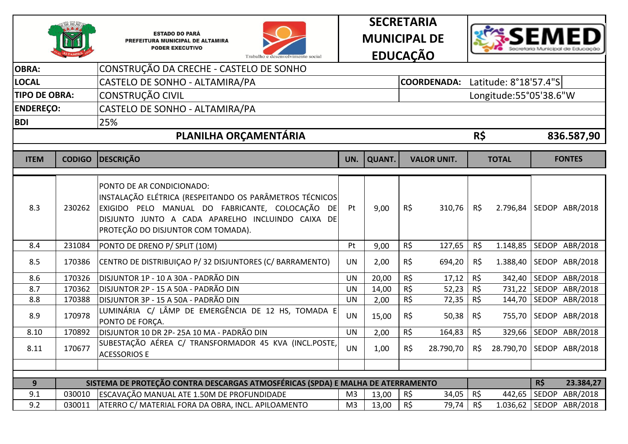







| <b>OBRA:</b>         |               | CONSTRUÇÃO DA CRECHE - CASTELO DE SONHO                                                                                                                                                                                            |                |               |          |                    |          |                        |     |                         |
|----------------------|---------------|------------------------------------------------------------------------------------------------------------------------------------------------------------------------------------------------------------------------------------|----------------|---------------|----------|--------------------|----------|------------------------|-----|-------------------------|
| <b>LOCAL</b>         |               | CASTELO DE SONHO - ALTAMIRA/PA                                                                                                                                                                                                     |                |               |          | <b>COORDENADA:</b> |          | Latitude: 8°18'57.4"S  |     |                         |
| <b>TIPO DE OBRA:</b> |               | CONSTRUÇÃO CIVIL                                                                                                                                                                                                                   |                |               |          |                    |          | Longitude:55°05'38.6"W |     |                         |
| <b>ENDEREÇO:</b>     |               | CASTELO DE SONHO - ALTAMIRA/PA                                                                                                                                                                                                     |                |               |          |                    |          |                        |     |                         |
| <b>BDI</b>           |               | 25%                                                                                                                                                                                                                                |                |               |          |                    |          |                        |     |                         |
|                      |               | PLANILHA ORÇAMENTÁRIA                                                                                                                                                                                                              |                |               |          |                    | R\$      |                        |     | 836.587,90              |
| <b>ITEM</b>          | <b>CODIGO</b> | <b>DESCRIÇÃO</b>                                                                                                                                                                                                                   | UN.            | <b>QUANT.</b> |          | <b>VALOR UNIT.</b> |          | <b>TOTAL</b>           |     | <b>FONTES</b>           |
| 8.3                  | 230262        | PONTO DE AR CONDICIONADO:<br>INSTALAÇÃO ELÉTRICA (RESPEITANDO OS PARÂMETROS TÉCNICOS<br>EXIGIDO PELO MANUAL DO FABRICANTE, COLOCAÇÃO DE<br>DISJUNTO JUNTO A CADA APARELHO INCLUINDO CAIXA DE<br>PROTEÇÃO DO DISJUNTOR COM TOMADA). | Pt             | 9,00          | R\$      | 310,76             | R\$      | 2.796,84               |     | SEDOP ABR/2018          |
| 8.4                  | 231084        | PONTO DE DRENO P/ SPLIT (10M)                                                                                                                                                                                                      | Pt             | 9,00          | $R\zeta$ | 127,65             | $R\zeta$ | 1.148,85               |     | SEDOP ABR/2018          |
| 8.5                  | 170386        | CENTRO DE DISTRIBUIÇÃO P/32 DISJUNTORES (C/BARRAMENTO)                                                                                                                                                                             | <b>UN</b>      | 2,00          | R\$      | 694,20             | $R\zeta$ | 1.388,40               |     | SEDOP ABR/2018          |
| 8.6                  | 170326        | DISJUNTOR 1P - 10 A 30A - PADRÃO DIN                                                                                                                                                                                               | <b>UN</b>      | 20,00         | $R\zeta$ | 17,12              | R\$      | 342,40                 |     | SEDOP ABR/2018          |
| 8.7                  | 170362        | DISJUNTOR 2P - 15 A 50A - PADRÃO DIN                                                                                                                                                                                               | <b>UN</b>      | 14,00         | $R\zeta$ | 52,23              | R\$      |                        |     | 731,22   SEDOP ABR/2018 |
| 8.8                  | 170388        | DISJUNTOR 3P - 15 A 50A - PADRÃO DIN                                                                                                                                                                                               | <b>UN</b>      | 2,00          | R\$      | 72,35              | R\$      | 144,70                 |     | SEDOP ABR/2018          |
| 8.9                  | 170978        | LUMINÁRIA C/ LÂMP DE EMERGÊNCIA DE 12 HS, TOMADA E<br>PONTO DE FORÇA.                                                                                                                                                              | <b>UN</b>      | 15,00         | $R\zeta$ | 50,38              | R\$      | 755,70                 |     | SEDOP ABR/2018          |
| 8.10                 | 170892        | DISJUNTOR 10 DR 2P-25A 10 MA - PADRÃO DIN                                                                                                                                                                                          | <b>UN</b>      | 2,00          | R\$      | 164,83             | R\$      | 329,66                 |     | SEDOP ABR/2018          |
| 8.11                 | 170677        | SUBESTAÇÃO AÉREA C/ TRANSFORMADOR 45 KVA (INCL.POSTE,<br><b>ACESSORIOS E</b>                                                                                                                                                       | <b>UN</b>      | 1,00          | R\$      | 28.790,70          | R\$      | 28.790,70              |     | SEDOP ABR/2018          |
|                      |               |                                                                                                                                                                                                                                    |                |               |          |                    |          |                        |     |                         |
| 9                    |               | SISTEMA DE PROTEÇÃO CONTRA DESCARGAS ATMOSFÉRICAS (SPDA) E MALHA DE ATERRAMENTO                                                                                                                                                    |                |               |          |                    |          |                        | R\$ | 23.384,27               |
| 9.1                  | 030010        | ESCAVAÇÃO MANUAL ATE 1.50M DE PROFUNDIDADE                                                                                                                                                                                         | M <sub>3</sub> | 13,00         | R\$      | 34,05              | R\$      | 442,65                 |     | SEDOP ABR/2018          |
| 9.2                  | 030011        | ATERRO C/ MATERIAL FORA DA OBRA, INCL. APILOAMENTO                                                                                                                                                                                 | M <sub>3</sub> | 13,00         | R\$      | 79,74              | R\$      |                        |     | 1.036,62 SEDOP ABR/2018 |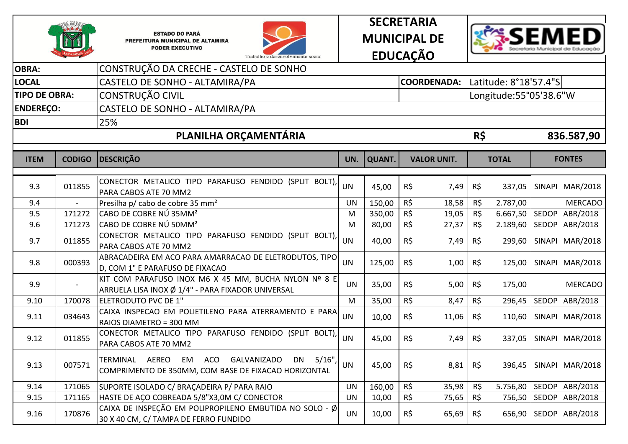







| <b>OBRA:</b>         |               | CONSTRUÇÃO DA CRECHE - CASTELO DE SONHO                                                                                                                 |           |               |                    |          |                        |                 |
|----------------------|---------------|---------------------------------------------------------------------------------------------------------------------------------------------------------|-----------|---------------|--------------------|----------|------------------------|-----------------|
| <b>LOCAL</b>         |               | CASTELO DE SONHO - ALTAMIRA/PA                                                                                                                          |           |               | <b>COORDENADA:</b> |          | Latitude: 8°18'57.4"S  |                 |
| <b>TIPO DE OBRA:</b> |               | CONSTRUÇÃO CIVIL                                                                                                                                        |           |               |                    |          | Longitude:55°05'38.6"W |                 |
| <b>ENDEREÇO:</b>     |               | CASTELO DE SONHO - ALTAMIRA/PA                                                                                                                          |           |               |                    |          |                        |                 |
| <b>BDI</b>           |               | 25%                                                                                                                                                     |           |               |                    |          |                        |                 |
|                      |               | PLANILHA ORÇAMENTÁRIA                                                                                                                                   |           |               |                    | R\$      |                        | 836.587,90      |
|                      |               |                                                                                                                                                         |           |               |                    |          |                        |                 |
| <b>ITEM</b>          | <b>CODIGO</b> | <b>DESCRICÃO</b>                                                                                                                                        | UN.       | <b>QUANT.</b> | <b>VALOR UNIT.</b> |          | <b>TOTAL</b>           | <b>FONTES</b>   |
|                      |               | CONECTOR METALICO TIPO PARAFUSO FENDIDO (SPLIT BOLT),                                                                                                   |           |               |                    |          |                        |                 |
| 9.3                  | 011855        | PARA CABOS ATE 70 MM2                                                                                                                                   | <b>UN</b> | 45,00         | $R\zeta$<br>7,49   | R\$      | 337,05                 | SINAPI MAR/2018 |
| 9.4                  |               | Presilha p/ cabo de cobre 35 mm <sup>2</sup>                                                                                                            | <b>UN</b> | 150,00        | $R\zeta$<br>18,58  | R\$      | 2.787,00               | <b>MERCADO</b>  |
| 9.5                  | 171272        | CABO DE COBRE NÚ 35MM <sup>2</sup>                                                                                                                      | M         | 350,00        | R\$<br>19,05       | R\$      | 6.667,50               | SEDOP ABR/2018  |
| 9.6                  | 171273        | CABO DE COBRE NÚ 50MM <sup>2</sup>                                                                                                                      | M         | 80,00         | $R\zeta$<br>27,37  | R\$      | 2.189,60               | SEDOP ABR/2018  |
| 9.7                  | 011855        | CONECTOR METALICO TIPO PARAFUSO FENDIDO (SPLIT BOLT),<br>PARA CABOS ATE 70 MM2                                                                          | <b>UN</b> | 40,00         | R\$<br>7,49        | R\$      | 299,60                 | SINAPI MAR/2018 |
| 9.8                  | 000393        | ABRACADEIRA EM ACO PARA AMARRACAO DE ELETRODUTOS, TIPO<br>D, COM 1" E PARAFUSO DE FIXACAO                                                               | <b>UN</b> | 125,00        | $R\zeta$<br>1,00   | R\$      | 125,00                 | SINAPI MAR/2018 |
| 9.9                  |               | KIT COM PARAFUSO INOX M6 X 45 MM, BUCHA NYLON Nº 8 E<br>ARRUELA LISA INOX Ø 1/4" - PARA FIXADOR UNIVERSAL                                               | <b>UN</b> | 35,00         | $R\zeta$<br>5,00   | R\$      | 175,00                 | <b>MERCADO</b>  |
| 9.10                 | 170078        | ELETRODUTO PVC DE 1"                                                                                                                                    | M         | 35,00         | $R\zeta$<br>8,47   | $R\zeta$ | 296,45                 | SEDOP ABR/2018  |
| 9.11                 | 034643        | CAIXA INSPECAO EM POLIETILENO PARA ATERRAMENTO E PARA<br>RAIOS DIAMETRO = 300 MM                                                                        | <b>UN</b> | 10,00         | $R\zeta$<br>11,06  | R\$      | 110,60                 | SINAPI MAR/2018 |
| 9.12                 | 011855        | CONECTOR METALICO TIPO PARAFUSO FENDIDO (SPLIT BOLT),<br>PARA CABOS ATE 70 MM2                                                                          | <b>UN</b> | 45,00         | R\$<br>7,49        | R\$      | 337,05                 | SINAPI MAR/2018 |
| 9.13                 | 007571        | <b>AEREO</b><br><b>EM</b><br><b>ACO</b><br><b>GALVANIZADO</b><br>5/16"<br>TERMINAL<br><b>DN</b><br>COMPRIMENTO DE 350MM, COM BASE DE FIXACAO HORIZONTAL | <b>UN</b> | 45,00         | $R\zeta$<br>8,81   | R\$      | 396,45                 | SINAPI MAR/2018 |
| 9.14                 | 171065        | SUPORTE ISOLADO C/ BRAÇADEIRA P/ PARA RAIO                                                                                                              | <b>UN</b> | 160,00        | R\$<br>35,98       | R\$      | 5.756,80               | SEDOP ABR/2018  |
| 9.15                 | 171165        | HASTE DE AÇO COBREADA 5/8"X3,0M C/ CONECTOR                                                                                                             | <b>UN</b> | 10,00         | $R\zeta$<br>75,65  | $R\zeta$ | 756,50                 | SEDOP ABR/2018  |
| 9.16                 | 170876        | CAIXA DE INSPEÇÃO EM POLIPROPILENO EMBUTIDA NO SOLO - $\emptyset$<br>30 X 40 CM, C/ TAMPA DE FERRO FUNDIDO                                              | <b>UN</b> | 10,00         | R\$<br>65,69       | R\$      | 656,90                 | SEDOP ABR/2018  |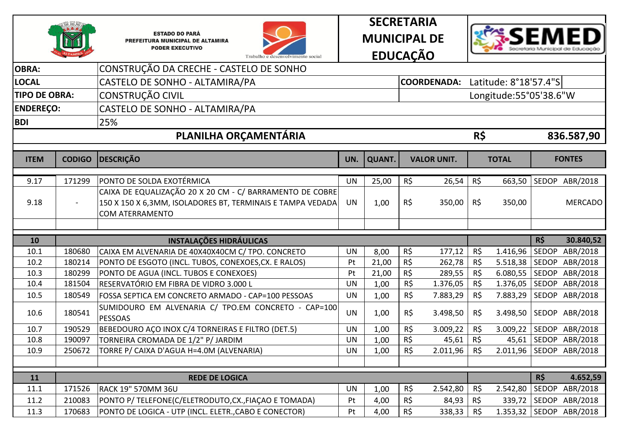







| <b>OBRA:</b>         |               | CONSTRUÇÃO DA CRECHE - CASTELO DE SONHO                        |           |               |                 |                                   |     |                        |       |                           |
|----------------------|---------------|----------------------------------------------------------------|-----------|---------------|-----------------|-----------------------------------|-----|------------------------|-------|---------------------------|
| <b>LOCAL</b>         |               | CASTELO DE SONHO - ALTAMIRA/PA                                 |           |               |                 | COORDENADA: Latitude: 8°18'57.4"S |     |                        |       |                           |
| <b>TIPO DE OBRA:</b> |               | CONSTRUÇÃO CIVIL                                               |           |               |                 |                                   |     | Longitude:55°05'38.6"W |       |                           |
| <b>ENDEREÇO:</b>     |               | CASTELO DE SONHO - ALTAMIRA/PA                                 |           |               |                 |                                   |     |                        |       |                           |
| <b>BDI</b>           |               | 25%                                                            |           |               |                 |                                   |     |                        |       |                           |
|                      |               | PLANILHA ORÇAMENTÁRIA                                          |           |               |                 |                                   | R\$ |                        |       | 836.587,90                |
|                      |               |                                                                |           |               |                 |                                   |     |                        |       |                           |
| <b>ITEM</b>          | <b>CODIGO</b> | <b>DESCRIÇÃO</b>                                               | UN.       | <b>QUANT.</b> |                 | <b>VALOR UNIT.</b>                |     | <b>TOTAL</b>           |       | <b>FONTES</b>             |
| 9.17                 | 171299        | PONTO DE SOLDA EXOTÉRMICA                                      | <b>UN</b> | 25,00         | R\$             | 26,54                             | R\$ |                        |       | 663,50 SEDOP ABR/2018     |
|                      |               | CAIXA DE EQUALIZAÇÃO 20 X 20 CM - C/ BARRAMENTO DE COBRE       |           |               |                 |                                   |     |                        |       |                           |
| 9.18                 |               | 150 X 150 X 6,3MM, ISOLADORES BT, TERMINAIS E TAMPA VEDADA     | <b>UN</b> | 1,00          | R\$             | 350,00                            | R\$ | 350,00                 |       | <b>MERCADO</b>            |
|                      |               | <b>COM ATERRAMENTO</b>                                         |           |               |                 |                                   |     |                        |       |                           |
|                      |               |                                                                |           |               |                 |                                   |     |                        |       |                           |
| 10                   |               | <b>INSTALAÇÕES HIDRÁULICAS</b>                                 |           |               |                 |                                   |     |                        | R\$   | 30.840,52                 |
| 10.1                 | 180680        | CAIXA EM ALVENARIA DE 40X40X40CM C/ TPO. CONCRETO              | <b>UN</b> | 8,00          | R\$             | 177,12                            | R\$ | 1.416,96               | SEDOP | ABR/2018                  |
| 10.2                 | 180214        | PONTO DE ESGOTO (INCL. TUBOS, CONEXOES, CX. E RALOS)           | Pt        | 21,00         | R\$             | 262,78                            | R\$ |                        |       | 5.518,38 SEDOP ABR/2018   |
| 10.3                 | 180299        | PONTO DE AGUA (INCL. TUBOS E CONEXOES)                         | Pt        | 21,00         | $R\zeta$        | 289,55                            | R\$ | 6.080,55               |       | SEDOP ABR/2018            |
| 10.4                 | 181504        | RESERVATÓRIO EM FIBRA DE VIDRO 3.000 L                         | <b>UN</b> | 1,00          | $R\overline{S}$ | 1.376,05                          | R\$ |                        |       | 1.376,05 SEDOP ABR/2018   |
| 10.5                 | 180549        | FOSSA SEPTICA EM CONCRETO ARMADO - CAP=100 PESSOAS             | <b>UN</b> | 1,00          | $R\zeta$        | 7.883,29                          | R\$ | 7.883,29               |       | SEDOP ABR/2018            |
| 10.6                 | 180541        | SUMIDOURO EM ALVENARIA C/ TPO.EM CONCRETO - CAP=100<br>PESSOAS | <b>UN</b> | 1,00          | R\$             | 3.498,50                          | R\$ | 3.498,50               |       | SEDOP ABR/2018            |
| 10.7                 | 190529        | BEBEDOURO AÇO INOX C/4 TORNEIRAS E FILTRO (DET.5)              | <b>UN</b> | 1,00          | $R\zeta$        | 3.009,22                          | R\$ | 3.009,22               |       | SEDOP ABR/2018            |
| 10.8                 | 190097        | TORNEIRA CROMADA DE 1/2" P/ JARDIM                             | <b>UN</b> | 1,00          | $R\zeta$        | 45,61                             | R\$ | 45,61                  |       | SEDOP ABR/2018            |
| 10.9                 | 250672        | TORRE P/ CAIXA D'AGUA H=4.0M (ALVENARIA)                       | <b>UN</b> | 1,00          | R\$             | 2.011,96                          | R\$ |                        |       | 2.011,96   SEDOP ABR/2018 |
|                      |               |                                                                |           |               |                 |                                   |     |                        |       |                           |
| 11                   |               | <b>REDE DE LOGICA</b>                                          |           |               |                 |                                   |     |                        | R\$   | 4.652,59                  |
| 11.1                 | 171526        | <b>RACK 19" 570MM 36U</b>                                      | <b>UN</b> | 1,00          | R\$             | 2.542,80                          | R\$ | 2.542,80               |       | SEDOP ABR/2018            |
| 11.2                 | 210083        | PONTO P/ TELEFONE(C/ELETRODUTO, CX., FIAÇAO E TOMADA)          | Pt        | 4,00          | R\$             | 84,93                             | R\$ | 339,72                 |       | SEDOP ABR/2018            |
| 11.3                 | 170683        | PONTO DE LOGICA - UTP (INCL. ELETR., CABO E CONECTOR)          | Pt        | 4,00          | R\$             | 338,33                            | R\$ |                        |       | 1.353,32 SEDOP ABR/2018   |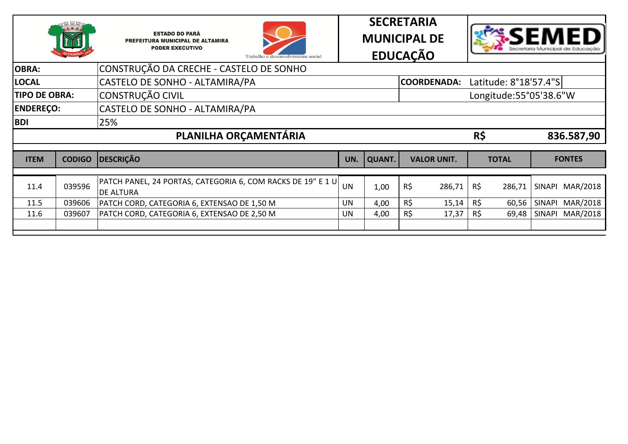







| <b>OBRA:</b>         |               | CONSTRUÇÃO DA CRECHE - CASTELO DE SONHO                                                       |           |               |     |                    |     |                        |                 |
|----------------------|---------------|-----------------------------------------------------------------------------------------------|-----------|---------------|-----|--------------------|-----|------------------------|-----------------|
| <b>LOCAL</b>         |               | CASTELO DE SONHO - ALTAMIRA/PA                                                                |           |               |     | <b>COORDENADA:</b> |     | Latitude: 8°18'57.4"S  |                 |
| <b>TIPO DE OBRA:</b> |               | <b>CONSTRUÇÃO CIVIL</b>                                                                       |           |               |     |                    |     | Longitude:55°05'38.6"W |                 |
| <b>ENDEREÇO:</b>     |               | CASTELO DE SONHO - ALTAMIRA/PA                                                                |           |               |     |                    |     |                        |                 |
| <b>BDI</b>           |               | 25%                                                                                           |           |               |     |                    |     |                        |                 |
|                      |               | PLANILHA ORÇAMENTÁRIA                                                                         |           |               |     |                    | R\$ |                        | 836.587,90      |
|                      |               |                                                                                               |           |               |     |                    |     |                        |                 |
|                      |               |                                                                                               |           |               |     |                    |     |                        |                 |
| <b>ITEM</b>          | <b>CODIGO</b> | DESCRIÇÃO                                                                                     | UN.       | <b>QUANT.</b> |     | <b>VALOR UNIT.</b> |     | <b>TOTAL</b>           | <b>FONTES</b>   |
|                      |               |                                                                                               |           |               |     |                    |     |                        |                 |
| 11.4                 | 039596        | $\mid$ PATCH PANEL, 24 PORTAS, CATEGORIA 6, COM RACKS DE 19" E 1 U $\mid$<br><b>DE ALTURA</b> | <b>UN</b> | 1,00          | R\$ | 286,71             | R\$ | 286,71                 | SINAPI MAR/2018 |
| 11.5                 | 039606        | PATCH CORD, CATEGORIA 6, EXTENSAO DE 1,50 M                                                   | UN        | 4,00          | R\$ | 15,14              | R\$ | 60,56                  | SINAPI MAR/2018 |
| 11.6                 | 039607        | PATCH CORD, CATEGORIA 6, EXTENSAO DE 2,50 M                                                   | UN        | 4,00          | R\$ | 17,37              | R\$ | 69,48                  | SINAPI MAR/2018 |
|                      |               |                                                                                               |           |               |     |                    |     |                        |                 |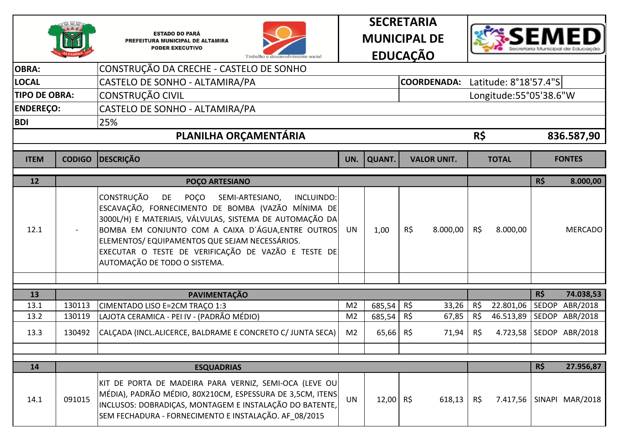







| <b>OBRA:</b>         |               | CONSTRUÇÃO DA CRECHE - CASTELO DE SONHO                                                                                                                                                                                                                                                                                                                                                |                |               |                                   |          |                        |     |                          |
|----------------------|---------------|----------------------------------------------------------------------------------------------------------------------------------------------------------------------------------------------------------------------------------------------------------------------------------------------------------------------------------------------------------------------------------------|----------------|---------------|-----------------------------------|----------|------------------------|-----|--------------------------|
| <b>LOCAL</b>         |               | CASTELO DE SONHO - ALTAMIRA/PA                                                                                                                                                                                                                                                                                                                                                         |                |               | COORDENADA: Latitude: 8°18'57.4"S |          |                        |     |                          |
| <b>TIPO DE OBRA:</b> |               | CONSTRUÇÃO CIVIL                                                                                                                                                                                                                                                                                                                                                                       |                |               |                                   |          | Longitude:55°05'38.6"W |     |                          |
| <b>ENDEREÇO:</b>     |               | CASTELO DE SONHO - ALTAMIRA/PA                                                                                                                                                                                                                                                                                                                                                         |                |               |                                   |          |                        |     |                          |
| <b>BDI</b>           |               | 25%                                                                                                                                                                                                                                                                                                                                                                                    |                |               |                                   |          |                        |     |                          |
|                      |               | PLANILHA ORÇAMENTÁRIA                                                                                                                                                                                                                                                                                                                                                                  |                |               |                                   | R\$      |                        |     | 836.587,90               |
| <b>ITEM</b>          | <b>CODIGO</b> | <b>DESCRIÇÃO</b>                                                                                                                                                                                                                                                                                                                                                                       | UN.            | <b>QUANT.</b> | <b>VALOR UNIT.</b>                |          | <b>TOTAL</b>           |     | <b>FONTES</b>            |
| 12                   |               | POÇO ARTESIANO                                                                                                                                                                                                                                                                                                                                                                         |                |               |                                   |          |                        | R\$ | 8.000,00                 |
| 12.1                 |               | <b>CONSTRUÇÃO</b><br>DE<br><b>POCO</b><br>SEMI-ARTESIANO,<br>INCLUINDO:<br>ESCAVAÇÃO, FORNECIMENTO DE BOMBA (VAZÃO MÍNIMA DE<br>3000L/H) E MATERIAIS, VÁLVULAS, SISTEMA DE AUTOMAÇÃO DA<br>BOMBA EM CONJUNTO COM A CAIXA D'ÁGUA, ENTRE OUTROS<br>ELEMENTOS/ EQUIPAMENTOS QUE SEJAM NECESSÁRIOS.<br>EXECUTAR O TESTE DE VERIFICAÇÃO DE VAZÃO E TESTE DE<br>AUTOMAÇÃO DE TODO O SISTEMA. | <b>UN</b>      | 1,00          | $R\zeta$<br>8.000,00              | $R\zeta$ | 8.000,00               |     | <b>MERCADO</b>           |
|                      |               |                                                                                                                                                                                                                                                                                                                                                                                        |                |               |                                   |          |                        |     |                          |
| 13                   |               | <b>PAVIMENTAÇÃO</b>                                                                                                                                                                                                                                                                                                                                                                    |                |               |                                   |          |                        | R\$ | 74.038,53                |
| 13.1                 | 130113        | CIMENTADO LISO E=2CM TRAÇO 1:3                                                                                                                                                                                                                                                                                                                                                         | M <sub>2</sub> | 685,54        | R\$<br>33,26                      | R\$      |                        |     | 22.801,06 SEDOP ABR/2018 |
| 13.2                 | 130119        | LAJOTA CERAMICA - PEI IV - (PADRÃO MÉDIO)                                                                                                                                                                                                                                                                                                                                              | M <sub>2</sub> | 685,54        | R\$<br>67,85                      | R\$      |                        |     | 46.513,89 SEDOP ABR/2018 |
| 13.3                 | 130492        | CALCADA (INCL.ALICERCE, BALDRAME E CONCRETO C/ JUNTA SECA)                                                                                                                                                                                                                                                                                                                             | M <sub>2</sub> | 65,66         | R\$<br>71,94                      | R\$      |                        |     | 4.723,58 SEDOP ABR/2018  |
|                      |               |                                                                                                                                                                                                                                                                                                                                                                                        |                |               |                                   |          |                        |     |                          |
| 14                   |               | <b>ESQUADRIAS</b>                                                                                                                                                                                                                                                                                                                                                                      |                |               |                                   |          |                        | R\$ | 27.956,87                |
| 14.1                 | 091015        | KIT DE PORTA DE MADEIRA PARA VERNIZ, SEMI-OCA (LEVE OU<br>MÉDIA), PADRÃO MÉDIO, 80X210CM, ESPESSURA DE 3,5CM, ITENS<br>INCLUSOS: DOBRADIÇAS, MONTAGEM E INSTALAÇÃO DO BATENTE,<br>SEM FECHADURA - FORNECIMENTO E INSTALAÇÃO. AF 08/2015                                                                                                                                                | <b>UN</b>      | 12,00 R\$     | 618,13                            | R\$      | 7.417,56               |     | SINAPI MAR/2018          |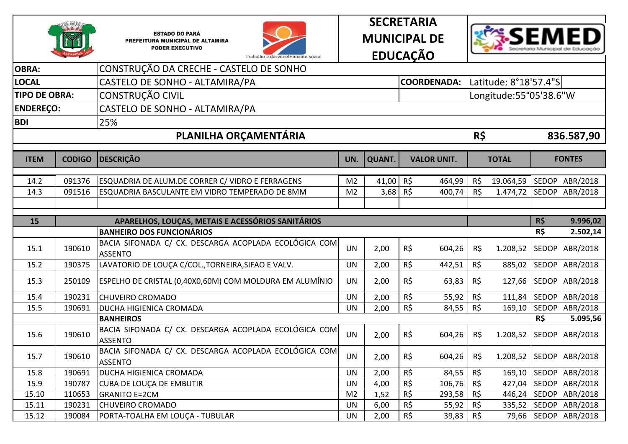







| <b>OBRA:</b>         |               | CONSTRUÇÃO DA CRECHE - CASTELO DE SONHO                                               |                |               |                    |        |          |                        |            |                        |
|----------------------|---------------|---------------------------------------------------------------------------------------|----------------|---------------|--------------------|--------|----------|------------------------|------------|------------------------|
| <b>LOCAL</b>         |               | CASTELO DE SONHO - ALTAMIRA/PA                                                        |                |               | <b>COORDENADA:</b> |        |          | Latitude: 8°18'57.4"S  |            |                        |
| <b>TIPO DE OBRA:</b> |               | CONSTRUÇÃO CIVIL                                                                      |                |               |                    |        |          | Longitude:55°05'38.6"W |            |                        |
| <b>ENDEREÇO:</b>     |               | CASTELO DE SONHO - ALTAMIRA/PA                                                        |                |               |                    |        |          |                        |            |                        |
| <b>BDI</b>           |               | 25%                                                                                   |                |               |                    |        |          |                        |            |                        |
|                      |               | PLANILHA ORÇAMENTÁRIA                                                                 |                |               |                    |        | R\$      |                        |            | 836.587,90             |
|                      |               |                                                                                       |                |               |                    |        |          |                        |            |                        |
| <b>ITEM</b>          | <b>CODIGO</b> | <b>DESCRIÇÃO</b>                                                                      | UN.            | <b>QUANT.</b> | <b>VALOR UNIT.</b> |        |          | <b>TOTAL</b>           |            | <b>FONTES</b>          |
| 14.2                 | 091376        | ESQUADRIA DE ALUM.DE CORRER C/ VIDRO E FERRAGENS                                      | M <sub>2</sub> | 41,00         | R\$                | 464,99 | R\$      | 19.064,59              |            | SEDOP ABR/2018         |
| 14.3                 | 091516        | ESQUADRIA BASCULANTE EM VIDRO TEMPERADO DE 8MM                                        | M <sub>2</sub> | $3,68$ R\$    |                    | 400,74 | R\$      | 1.474,72               |            | SEDOP ABR/2018         |
|                      |               |                                                                                       |                |               |                    |        |          |                        |            |                        |
|                      |               |                                                                                       |                |               |                    |        |          |                        |            |                        |
| 15                   |               | APARELHOS, LOUÇAS, METAIS E ACESSÓRIOS SANITÁRIOS<br><b>BANHEIRO DOS FUNCIONÁRIOS</b> |                |               |                    |        |          |                        | R\$<br>R\$ | 9.996,02<br>2.502,14   |
|                      |               | BACIA SIFONADA C/ CX. DESCARGA ACOPLADA ECOLÓGICA COM                                 |                |               |                    |        |          |                        |            |                        |
| 15.1                 | 190610        | <b>ASSENTO</b>                                                                        | <b>UN</b>      | 2,00          | $R\zeta$           | 604,26 | R\$      | 1.208,52               |            | SEDOP ABR/2018         |
| 15.2                 | 190375        | LAVATORIO DE LOUÇA C/COL., TORNEIRA, SIFAO E VALV.                                    | <b>UN</b>      | 2,00          | $R\zeta$           | 442,51 | R\$      | 885,02                 |            | SEDOP ABR/2018         |
| 15.3                 | 250109        | ESPELHO DE CRISTAL (0,40X0,60M) COM MOLDURA EM ALUMÍNIO                               | <b>UN</b>      | 2,00          | R\$                | 63,83  | R\$      | 127,66                 |            | SEDOP ABR/2018         |
| 15.4                 | 190231        | <b>CHUVEIRO CROMADO</b>                                                               | <b>UN</b>      | 2,00          | $R\zeta$           | 55,92  | $R\zeta$ | 111,84                 |            | SEDOP ABR/2018         |
| 15.5                 | 190691        | DUCHA HIGIENICA CROMADA                                                               | <b>UN</b>      | 2,00          | $R\zeta$           | 84,55  | R\$      | 169,10                 |            | SEDOP ABR/2018         |
|                      |               | <b>BANHEIROS</b>                                                                      |                |               |                    |        |          |                        | R\$        | 5.095,56               |
| 15.6                 | 190610        | BACIA SIFONADA C/ CX. DESCARGA ACOPLADA ECOLÓGICA COM<br><b>ASSENTO</b>               | <b>UN</b>      | 2,00          | $R\zeta$           | 604,26 | R\$      | 1.208,52               |            | SEDOP ABR/2018         |
| 15.7                 | 190610        | BACIA SIFONADA C/ CX. DESCARGA ACOPLADA ECOLÓGICA COM<br><b>ASSENTO</b>               | <b>UN</b>      | 2,00          | $R\zeta$           | 604,26 | R\$      | 1.208,52               |            | SEDOP ABR/2018         |
| 15.8                 | 190691        | DUCHA HIGIENICA CROMADA                                                               | <b>UN</b>      | 2,00          | $R\zeta$           | 84,55  | R\$      | 169,10                 |            | SEDOP ABR/2018         |
| 15.9                 | 190787        | <b>CUBA DE LOUÇA DE EMBUTIR</b>                                                       | <b>UN</b>      | 4,00          | $R\zeta$           | 106,76 | R\$      | 427,04                 |            | SEDOP ABR/2018         |
| 15.10                | 110653        | <b>GRANITO E=2CM</b>                                                                  | M <sub>2</sub> | 1,52          | $R\zeta$           | 293,58 | R\$      | 446,24                 |            | SEDOP ABR/2018         |
| 15.11                | 190231        | <b>CHUVEIRO CROMADO</b>                                                               | <b>UN</b>      | 6,00          | R\$                | 55,92  | R\$      | 335,52                 |            | SEDOP ABR/2018         |
| 15.12                | 190084        | PORTA-TOALHA EM LOUÇA - TUBULAR                                                       | <b>UN</b>      | 2,00          | $R\zeta$           | 39,83  | R\$      |                        |            | 79,66   SEDOP ABR/2018 |
|                      |               |                                                                                       |                |               |                    |        |          |                        |            |                        |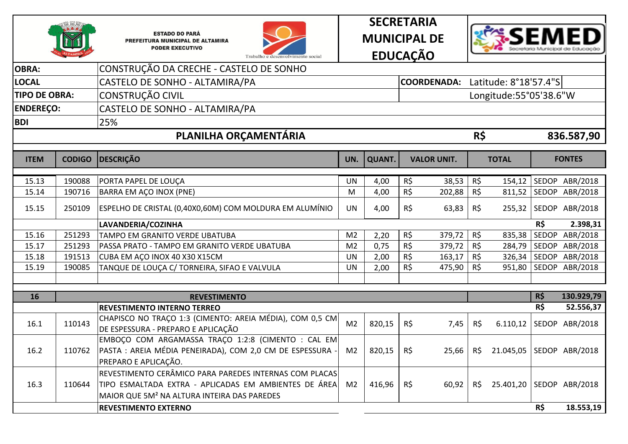







| CONSTRUÇÃO DA CRECHE - CASTELO DE SONHO<br><b>OBRA:</b><br><b>LOCAL</b><br>CASTELO DE SONHO - ALTAMIRA/PA<br><b>CONSTRUÇÃO CIVIL</b><br><b>TIPO DE OBRA:</b><br>CASTELO DE SONHO - ALTAMIRA/PA<br><b>ENDEREÇO:</b><br>25%<br><b>BDI</b><br>PLANILHA ORÇAMENTÁRIA<br><b>DESCRIÇÃO</b><br><b>CODIGO</b><br><b>ITEM</b><br>190088<br>15.13<br>PORTA PAPEL DE LOUÇA<br>190716<br>15.14<br>BARRA EM AÇO INOX (PNE)<br>ESPELHO DE CRISTAL (0,40X0,60M) COM MOLDURA EM ALUMÍNIO<br>15.15<br>250109<br>LAVANDERIA/COZINHA<br>251293<br>15.16<br>TAMPO EM GRANITO VERDE UBATUBA<br>15.17<br>251293<br>PASSA PRATO - TAMPO EM GRANITO VERDE UBATUBA |                |               | COORDENADA: Latitude: 8°18'57.4"S |        |     | Longitude:55°05'38.6"W |     |                |
|-------------------------------------------------------------------------------------------------------------------------------------------------------------------------------------------------------------------------------------------------------------------------------------------------------------------------------------------------------------------------------------------------------------------------------------------------------------------------------------------------------------------------------------------------------------------------------------------------------------------------------------------|----------------|---------------|-----------------------------------|--------|-----|------------------------|-----|----------------|
|                                                                                                                                                                                                                                                                                                                                                                                                                                                                                                                                                                                                                                           |                |               |                                   |        |     |                        |     |                |
|                                                                                                                                                                                                                                                                                                                                                                                                                                                                                                                                                                                                                                           |                |               |                                   |        |     |                        |     |                |
|                                                                                                                                                                                                                                                                                                                                                                                                                                                                                                                                                                                                                                           |                |               |                                   |        |     |                        |     |                |
|                                                                                                                                                                                                                                                                                                                                                                                                                                                                                                                                                                                                                                           |                |               |                                   |        |     |                        |     |                |
|                                                                                                                                                                                                                                                                                                                                                                                                                                                                                                                                                                                                                                           |                |               |                                   |        |     |                        |     |                |
|                                                                                                                                                                                                                                                                                                                                                                                                                                                                                                                                                                                                                                           |                |               |                                   |        | R\$ |                        |     | 836.587,90     |
|                                                                                                                                                                                                                                                                                                                                                                                                                                                                                                                                                                                                                                           |                |               |                                   |        |     |                        |     |                |
|                                                                                                                                                                                                                                                                                                                                                                                                                                                                                                                                                                                                                                           | UN.            | <b>QUANT.</b> | <b>VALOR UNIT.</b>                |        |     | <b>TOTAL</b>           |     | <b>FONTES</b>  |
|                                                                                                                                                                                                                                                                                                                                                                                                                                                                                                                                                                                                                                           | <b>UN</b>      | 4,00          | R\$                               | 38,53  | R\$ | 154,12                 |     | SEDOP ABR/2018 |
|                                                                                                                                                                                                                                                                                                                                                                                                                                                                                                                                                                                                                                           | M              | 4,00          | R\$                               | 202,88 | R\$ | 811,52                 |     | SEDOP ABR/2018 |
|                                                                                                                                                                                                                                                                                                                                                                                                                                                                                                                                                                                                                                           | <b>UN</b>      | 4,00          | R\$                               | 63,83  | R\$ | 255,32                 |     | SEDOP ABR/2018 |
|                                                                                                                                                                                                                                                                                                                                                                                                                                                                                                                                                                                                                                           |                |               |                                   |        |     |                        | R\$ | 2.398,31       |
|                                                                                                                                                                                                                                                                                                                                                                                                                                                                                                                                                                                                                                           | M <sub>2</sub> | 2,20          | R\$                               | 379,72 | R\$ | 835,38                 |     | SEDOP ABR/2018 |
|                                                                                                                                                                                                                                                                                                                                                                                                                                                                                                                                                                                                                                           | M <sub>2</sub> | 0,75          | R\$                               | 379,72 | R\$ | 284,79                 |     | SEDOP ABR/2018 |
| 15.18<br>191513<br>CUBA EM AÇO INOX 40 X30 X15CM                                                                                                                                                                                                                                                                                                                                                                                                                                                                                                                                                                                          | <b>UN</b>      | 2,00          | R\$                               | 163,17 | R\$ | 326,34                 |     | SEDOP ABR/2018 |
| TANQUE DE LOUÇA C/ TORNEIRA, SIFAO E VALVULA<br>15.19<br>190085                                                                                                                                                                                                                                                                                                                                                                                                                                                                                                                                                                           | <b>UN</b>      | 2,00          | $R\zeta$                          | 475,90 | R\$ | 951,80                 |     | SEDOP ABR/2018 |
|                                                                                                                                                                                                                                                                                                                                                                                                                                                                                                                                                                                                                                           |                |               |                                   |        |     |                        |     |                |
| 16<br><b>REVESTIMENTO</b>                                                                                                                                                                                                                                                                                                                                                                                                                                                                                                                                                                                                                 |                |               |                                   |        |     |                        | R\$ | 130.929,79     |
| <b>REVESTIMENTO INTERNO TERREO</b>                                                                                                                                                                                                                                                                                                                                                                                                                                                                                                                                                                                                        |                |               |                                   |        |     |                        | R\$ | 52.556,37      |
| CHAPISCO NO TRAÇO 1:3 (CIMENTO: AREIA MÉDIA), COM 0,5 CM<br>110143<br>16.1<br>DE ESPESSURA - PREPARO E APLICAÇÃO                                                                                                                                                                                                                                                                                                                                                                                                                                                                                                                          | M <sub>2</sub> | 820,15        | $R\zeta$                          | 7,45   | R\$ | 6.110,12               |     | SEDOP ABR/2018 |
| EMBOÇO COM ARGAMASSA TRAÇO 1:2:8 (CIMENTO : CAL EM<br>16.2<br>110762<br>PASTA : AREIA MÉDIA PENEIRADA), COM 2,0 CM DE ESPESSURA<br>PREPARO E APLICAÇÃO.                                                                                                                                                                                                                                                                                                                                                                                                                                                                                   | M <sub>2</sub> | 820,15        | R\$                               | 25,66  | R\$ | 21.045,05              |     | SEDOP ABR/2018 |
| REVESTIMENTO CERÂMICO PARA PAREDES INTERNAS COM PLACAS<br>TIPO ESMALTADA EXTRA - APLICADAS EM AMBIENTES DE ÁREA<br>16.3<br>110644<br>MAIOR QUE 5M <sup>2</sup> NA ALTURA INTEIRA DAS PAREDES                                                                                                                                                                                                                                                                                                                                                                                                                                              | M <sub>2</sub> | 416,96        | $R\zeta$                          | 60,92  | R\$ | 25.401,20              |     | SEDOP ABR/2018 |
| <b>REVESTIMENTO EXTERNO</b>                                                                                                                                                                                                                                                                                                                                                                                                                                                                                                                                                                                                               |                |               |                                   |        |     |                        | R\$ | 18.553,19      |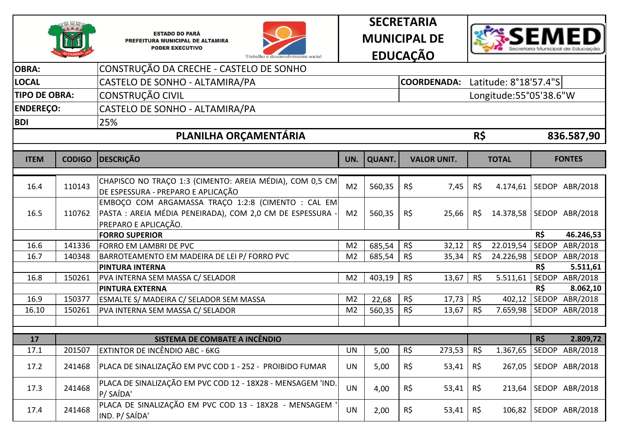







| <b>OBRA:</b>         |               | CONSTRUÇÃO DA CRECHE - CASTELO DE SONHO                                                                                                 |                |               |          |                    |          |                        |              |                |
|----------------------|---------------|-----------------------------------------------------------------------------------------------------------------------------------------|----------------|---------------|----------|--------------------|----------|------------------------|--------------|----------------|
| <b>LOCAL</b>         |               | CASTELO DE SONHO - ALTAMIRA/PA                                                                                                          |                |               |          | <b>COORDENADA:</b> |          | Latitude: 8°18'57.4"S  |              |                |
| <b>TIPO DE OBRA:</b> |               | <b>CONSTRUÇÃO CIVIL</b>                                                                                                                 |                |               |          |                    |          | Longitude:55°05'38.6"W |              |                |
| <b>ENDEREÇO:</b>     |               | CASTELO DE SONHO - ALTAMIRA/PA                                                                                                          |                |               |          |                    |          |                        |              |                |
| <b>BDI</b>           |               | 25%                                                                                                                                     |                |               |          |                    |          |                        |              |                |
|                      |               | PLANILHA ORÇAMENTÁRIA                                                                                                                   |                |               |          |                    | R\$      |                        |              | 836.587,90     |
| <b>ITEM</b>          | <b>CODIGO</b> | <b>DESCRIÇÃO</b>                                                                                                                        | UN.            | <b>QUANT.</b> |          | <b>VALOR UNIT.</b> |          | <b>TOTAL</b>           |              | <b>FONTES</b>  |
|                      |               |                                                                                                                                         |                |               |          |                    |          |                        |              |                |
| 16.4                 | 110143        | CHAPISCO NO TRAÇO 1:3 (CIMENTO: AREIA MÉDIA), COM 0,5 CM<br>DE ESPESSURA - PREPARO E APLICAÇÃO                                          | M <sub>2</sub> | 560,35        | R\$      | 7,45               | R\$      | 4.174,61               |              | SEDOP ABR/2018 |
| 16.5                 | 110762        | EMBOÇO COM ARGAMASSA TRAÇO 1:2:8 (CIMENTO : CAL EM<br>PASTA : AREIA MÉDIA PENEIRADA), COM 2,0 CM DE ESPESSURA -<br>PREPARO E APLICAÇÃO. | M <sub>2</sub> | 560,35        | $R\zeta$ | 25,66              | R\$      | 14.378,58              |              | SEDOP ABR/2018 |
|                      |               | <b>FORRO SUPERIOR</b>                                                                                                                   |                |               |          |                    |          |                        | R\$          | 46.246,53      |
| 16.6                 | 141336        | FORRO EM LAMBRI DE PVC                                                                                                                  | M <sub>2</sub> | 685,54        | R\$      | 32,12              | R\$      | 22.019,54              | <b>SEDOP</b> | ABR/2018       |
| 16.7                 | 140348        | BARROTEAMENTO EM MADEIRA DE LEI P/ FORRO PVC                                                                                            | M <sub>2</sub> | 685,54        | R\$      | 35,34              | $R\zeta$ | 24.226,98              |              | SEDOP ABR/2018 |
|                      |               | <b>PINTURA INTERNA</b>                                                                                                                  |                |               |          |                    |          |                        | R\$          | 5.511,61       |
| 16.8                 | 150261        | PVA INTERNA SEM MASSA C/ SELADOR                                                                                                        | M <sub>2</sub> | 403,19        | $R\zeta$ | 13,67              | $R\zeta$ | 5.511,61               |              | SEDOP ABR/2018 |
|                      |               | <b>PINTURA EXTERNA</b>                                                                                                                  |                |               |          |                    |          |                        | R\$          | 8.062,10       |
| 16.9                 | 150377        | ESMALTE S/ MADEIRA C/ SELADOR SEM MASSA                                                                                                 | M <sub>2</sub> | 22,68         | $R\zeta$ | 17,73              | R\$      | 402,12                 | SEDOP        | ABR/2018       |
| 16.10                | 150261        | PVA INTERNA SEM MASSA C/ SELADOR                                                                                                        | M <sub>2</sub> | 560,35        | R\$      | 13,67              | R\$      | 7.659,98               |              | SEDOP ABR/2018 |
|                      |               |                                                                                                                                         |                |               |          |                    |          |                        |              |                |
| 17                   |               | SISTEMA DE COMBATE A INCÊNDIO                                                                                                           |                |               |          |                    |          |                        | R\$          | 2.809,72       |
| 17.1                 | 201507        | <b>EXTINTOR DE INCÊNDIO ABC - 6KG</b>                                                                                                   | <b>UN</b>      | 5,00          | $R\zeta$ | 273,53             | R\$      | $\overline{1.367,65}$  |              | SEDOP ABR/2018 |
| 17.2                 | 241468        | PLACA DE SINALIZAÇÃO EM PVC COD 1 - 252 - PROIBIDO FUMAR                                                                                | <b>UN</b>      | 5,00          | $R\zeta$ | 53,41              | R\$      | 267,05                 |              | SEDOP ABR/2018 |
| 17.3                 | 241468        | PLACA DE SINALIZAÇÃO EM PVC COD 12 - 18X28 - MENSAGEM 'IND.<br>P/SAÍDA'                                                                 | <b>UN</b>      | 4,00          | $R\zeta$ | 53,41              | $R\zeta$ | 213,64                 |              | SEDOP ABR/2018 |
| 17.4                 | 241468        | PLACA DE SINALIZAÇÃO EM PVC COD 13 - 18X28 - MENSAGEM<br>IND. P/ SAÍDA'                                                                 | <b>UN</b>      | 2,00          | R\$      | 53,41              | R\$      | 106,82                 |              | SEDOP ABR/2018 |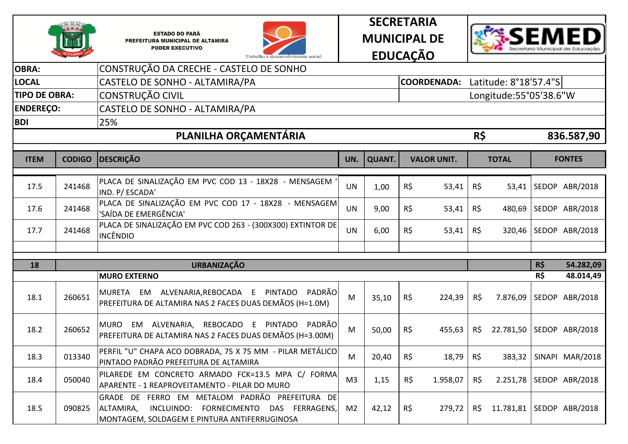







| <b>OBRA:</b>         |               | CONSTRUÇÃO DA CRECHE - CASTELO DE SONHO                                                                                                                        |                |               |                    |                    |     |                            |     |                         |
|----------------------|---------------|----------------------------------------------------------------------------------------------------------------------------------------------------------------|----------------|---------------|--------------------|--------------------|-----|----------------------------|-----|-------------------------|
| <b>LOCAL</b>         |               | CASTELO DE SONHO - ALTAMIRA/PA                                                                                                                                 |                |               | <b>COORDENADA:</b> |                    |     | Latitude: 8°18'57.4"S      |     |                         |
| <b>TIPO DE OBRA:</b> |               | CONSTRUÇÃO CIVIL                                                                                                                                               |                |               |                    |                    |     | Longitude:55°05'38.6"W     |     |                         |
| <b>ENDEREÇO:</b>     |               | CASTELO DE SONHO - ALTAMIRA/PA                                                                                                                                 |                |               |                    |                    |     |                            |     |                         |
| <b>BDI</b>           |               | 25%                                                                                                                                                            |                |               |                    |                    |     |                            |     |                         |
|                      |               | PLANILHA ORÇAMENTÁRIA                                                                                                                                          |                |               |                    |                    | R\$ |                            |     | 836.587,90              |
| <b>ITEM</b>          | <b>CODIGO</b> | <b>DESCRIÇÃO</b>                                                                                                                                               | UN.            | <b>QUANT.</b> |                    | <b>VALOR UNIT.</b> |     | <b>TOTAL</b>               |     | <b>FONTES</b>           |
| 17.5                 | 241468        | PLACA DE SINALIZAÇÃO EM PVC COD 13 - 18X28 - MENSAGEM<br>IND. P/ ESCADA'                                                                                       | <b>UN</b>      | 1,00          | R\$                | 53,41              | R\$ | 53,41                      |     | SEDOP ABR/2018          |
| 17.6                 | 241468        | PLACA DE SINALIZAÇÃO EM PVC COD 17 - 18X28 - MENSAGEM<br>'SAÍDA DE EMERGÊNCIA'                                                                                 | <b>UN</b>      | 9,00          | R\$                | 53,41              | R\$ | 480,69                     |     | SEDOP ABR/2018          |
| 17.7                 | 241468        | PLACA DE SINALIZAÇÃO EM PVC COD 263 - (300X300) EXTINTOR DE<br><b>INCÊNDIO</b>                                                                                 | <b>UN</b>      | 6,00          | $R\zeta$           | 53,41              | R\$ |                            |     | 320,46 SEDOP ABR/2018   |
|                      |               |                                                                                                                                                                |                |               |                    |                    |     |                            |     |                         |
| 18                   |               | <b>URBANIZAÇÃO</b>                                                                                                                                             |                |               |                    |                    |     |                            | R\$ | 54.282,09               |
|                      |               | <b>MURO EXTERNO</b>                                                                                                                                            |                |               |                    |                    |     |                            | R\$ | 48.014,49               |
| 18.1                 | 260651        | MURETA EM ALVENARIA, REBOCADA E PINTADO<br>PADRÃO<br>PREFEITURA DE ALTAMIRA NAS 2 FACES DUAS DEMÃOS (H=1.0M)                                                   | M              | 35,10         | $R\zeta$           | 224,39             | R\$ | 7.876,09                   |     | SEDOP ABR/2018          |
| 18.2                 | 260652        | E PINTADO<br>PADRÃO<br>MURO EM ALVENARIA,<br>REBOCADO<br>PREFEITURA DE ALTAMIRA NAS 2 FACES DUAS DEMÃOS (H=3.00M)                                              | M              | 50,00         | $R\zeta$           | 455,63             | R\$ | 22.781,50 SEDOP ABR/2018   |     |                         |
| 18.3                 | 013340        | PERFIL "U" CHAPA ACO DOBRADA, 75 X 75 MM - PILAR METÁLICO<br>PINTADO PADRÃO PREFEITURA DE ALTAMIRA                                                             | M              | 20,40         | R\$                | 18,79              | R\$ | 383,32                     |     | SINAPI MAR/2018         |
| 18.4                 | 050040        | PILAREDE EM CONCRETO ARMADO FCK=13.5 MPA C/ FORMA<br>APARENTE - 1 REAPROVEITAMENTO - PILAR DO MURO                                                             | M <sub>3</sub> | 1,15          | $R\zeta$           | 1.958,07           | R\$ |                            |     | 2.251,78 SEDOP ABR/2018 |
| 18.5                 | 090825        | GRADE DE FERRO EM METALOM PADRÃO<br>PREFEITURA DE<br>ALTAMIRA,<br>INCLUINDO:<br>FORNECIMENTO<br>DAS FERRAGENS,<br>MONTAGEM, SOLDAGEM E PINTURA ANTIFERRUGINOSA | M <sub>2</sub> | 42,12         | R\$                | 279,72             | R\$ | 11.781,81   SEDOP ABR/2018 |     |                         |